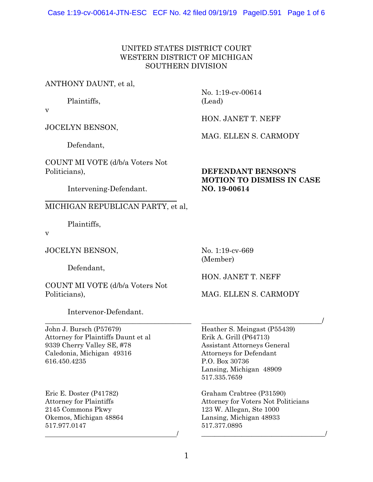## UNITED STATES DISTRICT COURT WESTERN DISTRICT OF MICHIGAN SOUTHERN DIVISION

## ANTHONY DAUNT, et al,

Plaintiffs,

v

JOCELYN BENSON,

Defendant,

COUNT MI VOTE (d/b/a Voters Not Politicians),

Intervening-Defendant.

# MICHIGAN REPUBLICAN PARTY, et al,

Plaintiffs,

v

 $\overline{a}$ 

JOCELYN BENSON,

Defendant,

COUNT MI VOTE (d/b/a Voters Not Politicians),

Intervenor-Defendant.

\_\_\_\_\_\_\_\_\_\_\_\_\_\_\_\_\_\_\_\_\_\_\_\_\_\_\_\_\_\_\_\_\_\_\_\_\_\_\_\_

 $\overline{\phantom{a}}$ 

John J. Bursch (P57679) Attorney for Plaintiffs Daunt et al 9339 Cherry Valley SE, #78 Caledonia, Michigan 49316 616.450.4235

Eric E. Doster (P41782) Attorney for Plaintiffs 2145 Commons Pkwy Okemos, Michigan 48864 517.977.0147

No. 1:19-cv-00614 (Lead)

HON. JANET T. NEFF

MAG. ELLEN S. CARMODY

# **DEFENDANT BENSON'S MOTION TO DISMISS IN CASE NO. 19-00614**

No. 1:19-cv-669 (Member)

HON. JANET T. NEFF

# MAG. ELLEN S. CARMODY

\_\_\_\_\_\_\_\_\_\_\_\_\_\_\_\_\_\_\_\_\_\_\_\_\_\_\_\_\_\_\_\_\_/ Heather S. Meingast (P55439) Erik A. Grill (P64713) Assistant Attorneys General Attorneys for Defendant P.O. Box 30736 Lansing, Michigan 48909 517.335.7659

Graham Crabtree (P31590) Attorney for Voters Not Politicians 123 W. Allegan, Ste 1000 Lansing, Michigan 48933 517.377.0895

\_\_\_\_\_\_\_\_\_\_\_\_\_\_\_\_\_\_\_\_\_\_\_\_\_\_\_\_\_\_\_\_\_\_\_\_\_/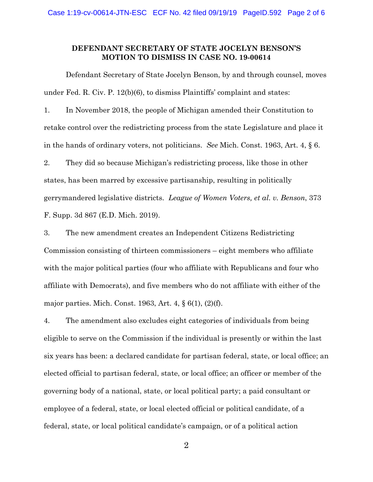#### **DEFENDANT SECRETARY OF STATE JOCELYN BENSON'S MOTION TO DISMISS IN CASE NO. 19-00614**

Defendant Secretary of State Jocelyn Benson, by and through counsel, moves under Fed. R. Civ. P. 12(b)(6), to dismiss Plaintiffs' complaint and states:

1. In November 2018, the people of Michigan amended their Constitution to retake control over the redistricting process from the state Legislature and place it in the hands of ordinary voters, not politicians. *See* Mich. Const. 1963, Art. 4, § 6. 2. They did so because Michigan's redistricting process, like those in other states, has been marred by excessive partisanship, resulting in politically gerrymandered legislative districts. *League of Women Voters, et al. v. Benson*, 373 F. Supp. 3d 867 (E.D. Mich. 2019).

3. The new amendment creates an Independent Citizens Redistricting Commission consisting of thirteen commissioners – eight members who affiliate with the major political parties (four who affiliate with Republicans and four who affiliate with Democrats), and five members who do not affiliate with either of the major parties. Mich. Const. 1963, Art. 4, § 6(1), (2)(f).

4. The amendment also excludes eight categories of individuals from being eligible to serve on the Commission if the individual is presently or within the last six years has been: a declared candidate for partisan federal, state, or local office; an elected official to partisan federal, state, or local office; an officer or member of the governing body of a national, state, or local political party; a paid consultant or employee of a federal, state, or local elected official or political candidate, of a federal, state, or local political candidate's campaign, or of a political action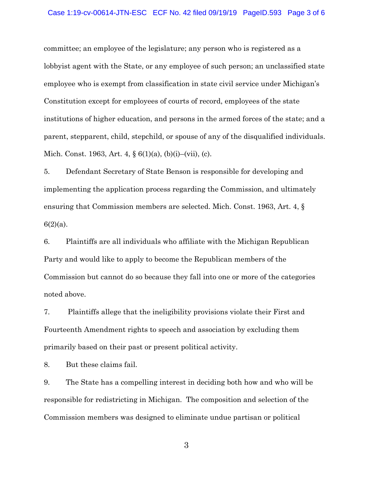#### Case 1:19-cv-00614-JTN-ESC ECF No. 42 filed 09/19/19 PageID.593 Page 3 of 6

committee; an employee of the legislature; any person who is registered as a lobbyist agent with the State, or any employee of such person; an unclassified state employee who is exempt from classification in state civil service under Michigan's Constitution except for employees of courts of record, employees of the state institutions of higher education, and persons in the armed forces of the state; and a parent, stepparent, child, stepchild, or spouse of any of the disqualified individuals. Mich. Const. 1963, Art. 4, § 6(1)(a), (b)(i)–(vii), (c).

5. Defendant Secretary of State Benson is responsible for developing and implementing the application process regarding the Commission, and ultimately ensuring that Commission members are selected. Mich. Const. 1963, Art. 4, §  $6(2)(a)$ .

6. Plaintiffs are all individuals who affiliate with the Michigan Republican Party and would like to apply to become the Republican members of the Commission but cannot do so because they fall into one or more of the categories noted above.

7. Plaintiffs allege that the ineligibility provisions violate their First and Fourteenth Amendment rights to speech and association by excluding them primarily based on their past or present political activity.

8. But these claims fail.

9. The State has a compelling interest in deciding both how and who will be responsible for redistricting in Michigan. The composition and selection of the Commission members was designed to eliminate undue partisan or political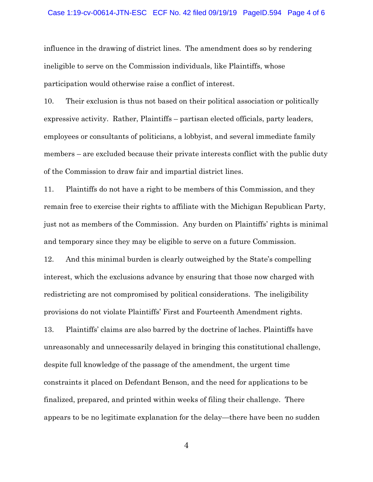#### Case 1:19-cv-00614-JTN-ESC ECF No. 42 filed 09/19/19 PageID.594 Page 4 of 6

influence in the drawing of district lines. The amendment does so by rendering ineligible to serve on the Commission individuals, like Plaintiffs, whose participation would otherwise raise a conflict of interest.

10. Their exclusion is thus not based on their political association or politically expressive activity. Rather, Plaintiffs – partisan elected officials, party leaders, employees or consultants of politicians, a lobbyist, and several immediate family members – are excluded because their private interests conflict with the public duty of the Commission to draw fair and impartial district lines.

11. Plaintiffs do not have a right to be members of this Commission, and they remain free to exercise their rights to affiliate with the Michigan Republican Party, just not as members of the Commission. Any burden on Plaintiffs' rights is minimal and temporary since they may be eligible to serve on a future Commission.

12. And this minimal burden is clearly outweighed by the State's compelling interest, which the exclusions advance by ensuring that those now charged with redistricting are not compromised by political considerations. The ineligibility provisions do not violate Plaintiffs' First and Fourteenth Amendment rights.

13. Plaintiffs' claims are also barred by the doctrine of laches. Plaintiffs have unreasonably and unnecessarily delayed in bringing this constitutional challenge, despite full knowledge of the passage of the amendment, the urgent time constraints it placed on Defendant Benson, and the need for applications to be finalized, prepared, and printed within weeks of filing their challenge. There appears to be no legitimate explanation for the delay—there have been no sudden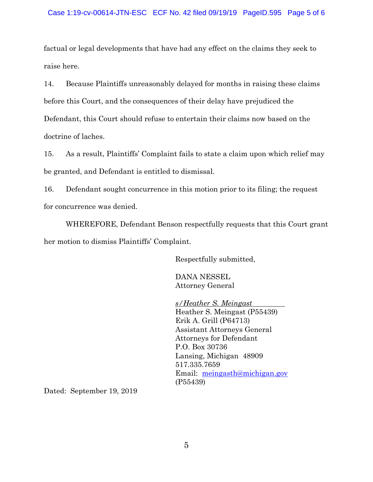#### Case 1:19-cv-00614-JTN-ESC ECF No. 42 filed 09/19/19 PageID.595 Page 5 of 6

factual or legal developments that have had any effect on the claims they seek to raise here.

14. Because Plaintiffs unreasonably delayed for months in raising these claims before this Court, and the consequences of their delay have prejudiced the Defendant, this Court should refuse to entertain their claims now based on the doctrine of laches.

15. As a result, Plaintiffs' Complaint fails to state a claim upon which relief may be granted, and Defendant is entitled to dismissal.

16. Defendant sought concurrence in this motion prior to its filing; the request for concurrence was denied.

WHEREFORE, Defendant Benson respectfully requests that this Court grant her motion to dismiss Plaintiffs' Complaint.

Respectfully submitted,

DANA NESSEL Attorney General

 *s/Heather S. Meingast*  Heather S. Meingast (P55439) Erik A. Grill (P64713) Assistant Attorneys General Attorneys for Defendant P.O. Box 30736 Lansing, Michigan 48909 517.335.7659 Email: meingasth@michigan.gov (P55439)

Dated: September 19, 2019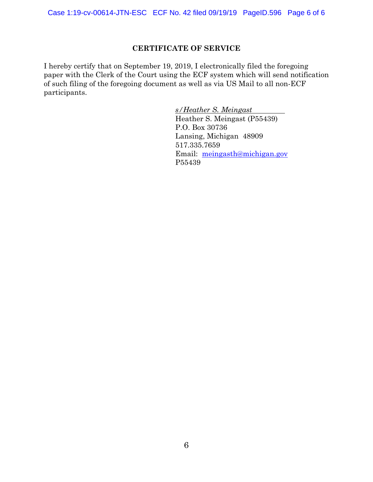### **CERTIFICATE OF SERVICE**

I hereby certify that on September 19, 2019, I electronically filed the foregoing paper with the Clerk of the Court using the ECF system which will send notification of such filing of the foregoing document as well as via US Mail to all non-ECF participants.

> *s/Heather S. Meingast*  Heather S. Meingast (P55439) P.O. Box 30736 Lansing, Michigan 48909 517.335.7659 Email: meingasth@michigan.gov P55439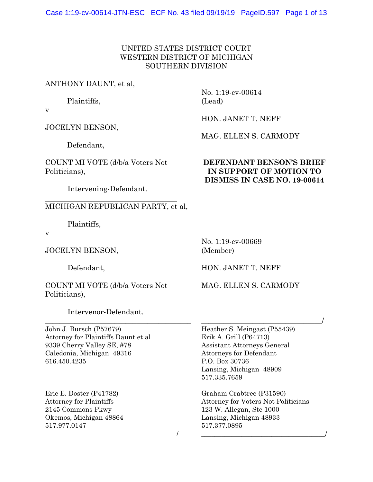### UNITED STATES DISTRICT COURT WESTERN DISTRICT OF MICHIGAN SOUTHERN DIVISION

### ANTHONY DAUNT, et al,

Plaintiffs,

v

JOCELYN BENSON,

Defendant,

COUNT MI VOTE (d/b/a Voters Not Politicians),

## No. 1:19-cv-00614 (Lead)

HON. JANET T. NEFF

MAG. ELLEN S. CARMODY

## **DEFENDANT BENSON'S BRIEF IN SUPPORT OF MOTION TO DISMISS IN CASE NO. 19-00614**

Intervening-Defendant.

## MICHIGAN REPUBLICAN PARTY, et al,

Plaintiffs,

v

 $\overline{a}$ 

JOCELYN BENSON,

Defendant,

COUNT MI VOTE (d/b/a Voters Not Politicians),

Intervenor-Defendant.

\_\_\_\_\_\_\_\_\_\_\_\_\_\_\_\_\_\_\_\_\_\_\_\_\_\_\_\_\_\_\_\_\_\_\_\_\_\_\_\_

 $\overline{\phantom{a}}$ 

John J. Bursch (P57679) Attorney for Plaintiffs Daunt et al 9339 Cherry Valley SE, #78 Caledonia, Michigan 49316 616.450.4235

Eric E. Doster (P41782) Attorney for Plaintiffs 2145 Commons Pkwy Okemos, Michigan 48864 517.977.0147

No. 1:19-cv-00669 (Member)

HON. JANET T. NEFF

MAG. ELLEN S. CARMODY

\_\_\_\_\_\_\_\_\_\_\_\_\_\_\_\_\_\_\_\_\_\_\_\_\_\_\_\_\_\_\_\_\_/

Heather S. Meingast (P55439) Erik A. Grill (P64713) Assistant Attorneys General Attorneys for Defendant P.O. Box 30736 Lansing, Michigan 48909 517.335.7659

Graham Crabtree (P31590) Attorney for Voters Not Politicians 123 W. Allegan, Ste 1000 Lansing, Michigan 48933 517.377.0895

\_\_\_\_\_\_\_\_\_\_\_\_\_\_\_\_\_\_\_\_\_\_\_\_\_\_\_\_\_\_\_\_\_\_\_\_\_/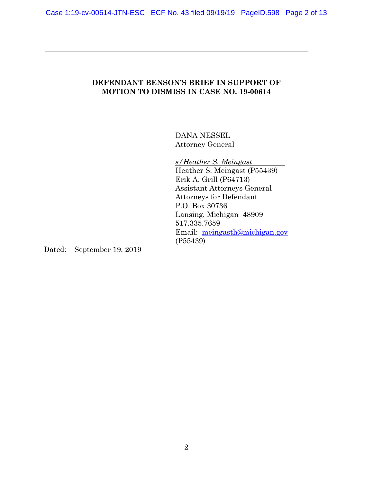## **DEFENDANT BENSON'S BRIEF IN SUPPORT OF MOTION TO DISMISS IN CASE NO. 19-00614**

DANA NESSEL Attorney General

 *s/Heather S. Meingast*  Heather S. Meingast (P55439) Erik A. Grill (P64713) Assistant Attorneys General Attorneys for Defendant P.O. Box 30736 Lansing, Michigan 48909 517.335.7659 Email: meingasth@michigan.gov (P55439)

Dated: September 19, 2019

 $\overline{a}$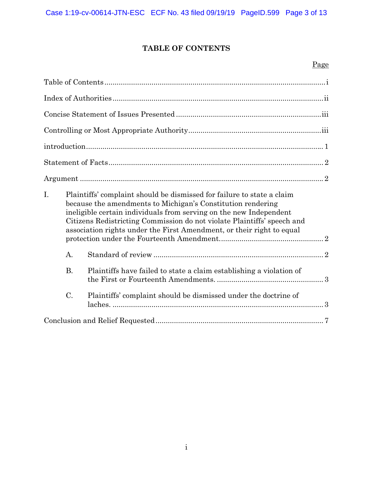# **TABLE OF CONTENTS**

## Page

| I.        | Plaintiffs' complaint should be dismissed for failure to state a claim<br>because the amendments to Michigan's Constitution rendering<br>ineligible certain individuals from serving on the new Independent<br>Citizens Redistricting Commission do not violate Plaintiffs' speech and<br>association rights under the First Amendment, or their right to equal |
|-----------|-----------------------------------------------------------------------------------------------------------------------------------------------------------------------------------------------------------------------------------------------------------------------------------------------------------------------------------------------------------------|
| A.        |                                                                                                                                                                                                                                                                                                                                                                 |
| <b>B.</b> | Plaintiffs have failed to state a claim establishing a violation of                                                                                                                                                                                                                                                                                             |
| $C$ .     | Plaintiffs' complaint should be dismissed under the doctrine of                                                                                                                                                                                                                                                                                                 |
|           |                                                                                                                                                                                                                                                                                                                                                                 |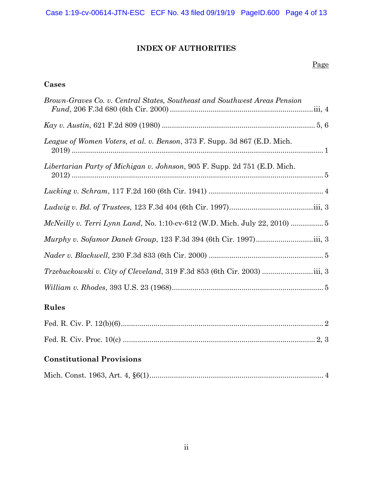# **INDEX OF AUTHORITIES**

## Page

# **Cases**

| Brown-Graves Co. v. Central States, Southeast and Southwest Areas Pension |  |
|---------------------------------------------------------------------------|--|
|                                                                           |  |
| League of Women Voters, et al. v. Benson, 373 F. Supp. 3d 867 (E.D. Mich. |  |
| Libertarian Party of Michigan v. Johnson, 905 F. Supp. 2d 751 (E.D. Mich. |  |
|                                                                           |  |
|                                                                           |  |
|                                                                           |  |
|                                                                           |  |
|                                                                           |  |
|                                                                           |  |
|                                                                           |  |

# **Rules**

# **Constitutional Provisions**

|--|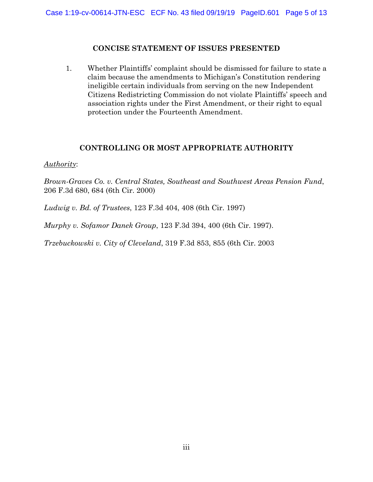## **CONCISE STATEMENT OF ISSUES PRESENTED**

1. Whether Plaintiffs' complaint should be dismissed for failure to state a claim because the amendments to Michigan's Constitution rendering ineligible certain individuals from serving on the new Independent Citizens Redistricting Commission do not violate Plaintiffs' speech and association rights under the First Amendment, or their right to equal protection under the Fourteenth Amendment.

## **CONTROLLING OR MOST APPROPRIATE AUTHORITY**

### *Authority*:

*Brown-Graves Co. v. Central States, Southeast and Southwest Areas Pension Fund*, 206 F.3d 680, 684 (6th Cir. 2000)

*Ludwig v. Bd. of Trustees*, 123 F.3d 404, 408 (6th Cir. 1997)

*Murphy v. Sofamor Danek Group*, 123 F.3d 394, 400 (6th Cir. 1997).

*Trzebuckowski v. City of Cleveland*, 319 F.3d 853, 855 (6th Cir. 2003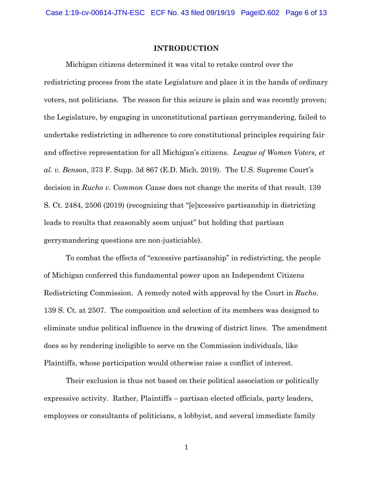#### **INTRODUCTION**

Michigan citizens determined it was vital to retake control over the redistricting process from the state Legislature and place it in the hands of ordinary voters, not politicians. The reason for this seizure is plain and was recently proven; the Legislature, by engaging in unconstitutional partisan gerrymandering, failed to undertake redistricting in adherence to core constitutional principles requiring fair and effective representation for all Michigan's citizens. *League of Women Voters, et al. v. Benson*, 373 F. Supp. 3d 867 (E.D. Mich. 2019). The U.S. Supreme Court's decision in *Rucho v. Common Cause* does not change the merits of that result. 139 S. Ct. 2484, 2506 (2019) (recognizing that "[e]xcessive partisanship in districting leads to results that reasonably seem unjust" but holding that partisan gerrymandering questions are non-justiciable).

To combat the effects of "excessive partisanship" in redistricting, the people of Michigan conferred this fundamental power upon an Independent Citizens Redistricting Commission. A remedy noted with approval by the Court in *Rucho*. 139 S. Ct. at 2507. The composition and selection of its members was designed to eliminate undue political influence in the drawing of district lines. The amendment does so by rendering ineligible to serve on the Commission individuals, like Plaintiffs, whose participation would otherwise raise a conflict of interest.

Their exclusion is thus not based on their political association or politically expressive activity. Rather, Plaintiffs – partisan elected officials, party leaders, employees or consultants of politicians, a lobbyist, and several immediate family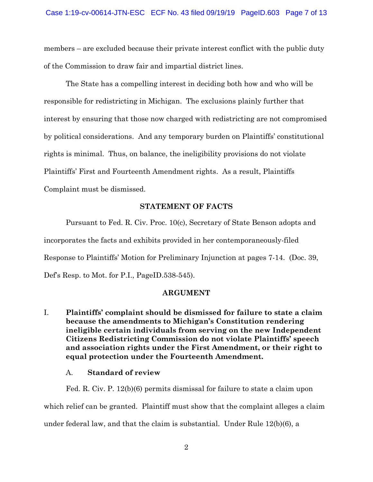members – are excluded because their private interest conflict with the public duty of the Commission to draw fair and impartial district lines.

The State has a compelling interest in deciding both how and who will be responsible for redistricting in Michigan. The exclusions plainly further that interest by ensuring that those now charged with redistricting are not compromised by political considerations. And any temporary burden on Plaintiffs' constitutional rights is minimal. Thus, on balance, the ineligibility provisions do not violate Plaintiffs' First and Fourteenth Amendment rights. As a result, Plaintiffs Complaint must be dismissed.

#### **STATEMENT OF FACTS**

Pursuant to Fed. R. Civ. Proc. 10(c), Secretary of State Benson adopts and incorporates the facts and exhibits provided in her contemporaneously-filed Response to Plaintiffs' Motion for Preliminary Injunction at pages 7-14. (Doc. 39, Def's Resp. to Mot. for P.I., PageID.538-545).

#### **ARGUMENT**

I. **Plaintiffs' complaint should be dismissed for failure to state a claim because the amendments to Michigan's Constitution rendering ineligible certain individuals from serving on the new Independent Citizens Redistricting Commission do not violate Plaintiffs' speech and association rights under the First Amendment, or their right to equal protection under the Fourteenth Amendment.** 

### A. **Standard of review**

Fed. R. Civ. P. 12(b)(6) permits dismissal for failure to state a claim upon which relief can be granted. Plaintiff must show that the complaint alleges a claim under federal law, and that the claim is substantial. Under Rule 12(b)(6), a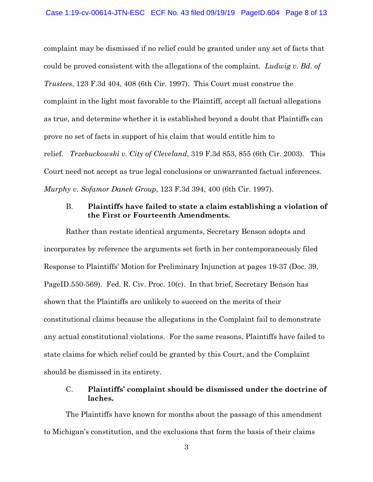complaint may be dismissed if no relief could be granted under any set of facts that could be proved consistent with the allegations of the complaint. *Ludwig v. Bd. of Trustees*, 123 F.3d 404, 408 (6th Cir. 1997). This Court must construe the complaint in the light most favorable to the Plaintiff, accept all factual allegations as true, and determine whether it is established beyond a doubt that Plaintiffs can prove no set of facts in support of his claim that would entitle him to relief. *Trzebuckowski v. City of Cleveland*, 319 F.3d 853, 855 (6th Cir. 2003). This Court need not accept as true legal conclusions or unwarranted factual inferences. *Murphy v. Sofamor Danek Group*, 123 F.3d 394, 400 (6th Cir. 1997).

### B. **Plaintiffs have failed to state a claim establishing a violation of the First or Fourteenth Amendments.**

Rather than restate identical arguments, Secretary Benson adopts and incorporates by reference the arguments set forth in her contemporaneously filed Response to Plaintiffs' Motion for Preliminary Injunction at pages 19-37 (Doc. 39, PageID.550-569). Fed. R. Civ. Proc. 10(c). In that brief, Secretary Benson has shown that the Plaintiffs are unlikely to succeed on the merits of their constitutional claims because the allegations in the Complaint fail to demonstrate any actual constitutional violations. For the same reasons, Plaintiffs have failed to state claims for which relief could be granted by this Court, and the Complaint should be dismissed in its entirety.

### C. **Plaintiffs' complaint should be dismissed under the doctrine of laches.**

The Plaintiffs have known for months about the passage of this amendment to Michigan's constitution, and the exclusions that form the basis of their claims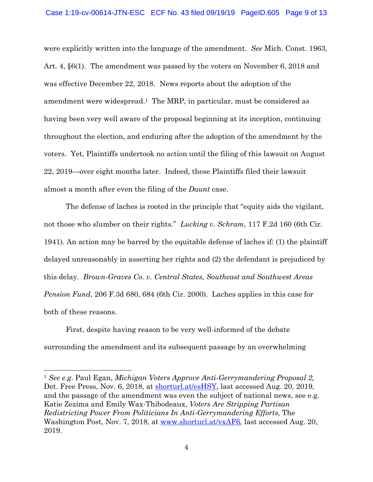were explicitly written into the language of the amendment. *See* Mich. Const. 1963, Art. 4, §6(1). The amendment was passed by the voters on November 6, 2018 and was effective December 22, 2018. News reports about the adoption of the amendment were widespread.1 The MRP, in particular, must be considered as having been very well aware of the proposal beginning at its inception, continuing throughout the election, and enduring after the adoption of the amendment by the voters. Yet, Plaintiffs undertook no action until the filing of this lawsuit on August 22, 2019—over eight months later. Indeed, these Plaintiffs filed their lawsuit almost a month after even the filing of the *Daunt* case.

The defense of laches is rooted in the principle that "equity aids the vigilant, not those who slumber on their rights." *Lucking v. Schram*, 117 F.2d 160 (6th Cir. 1941). An action may be barred by the equitable defense of laches if: (1) the plaintiff delayed unreasonably in asserting her rights and (2) the defendant is prejudiced by this delay. *Brown-Graves Co. v. Central States, Southeast and Southwest Areas Pension Fund*, 206 F.3d 680, 684 (6th Cir. 2000). Laches applies in this case for both of these reasons.

First, despite having reason to be very well-informed of the debate surrounding the amendment and its subsequent passage by an overwhelming

<sup>1</sup> *See e.g*. Paul Egan, *Michigan Voters Approve Anti-Gerrymandering Proposal 2,*  Det. Free Press, Nov. 6, 2018, at shorturl.at/esHSY, last accessed Aug. 20, 2019, and the passage of the amendment was even the subject of national news, see e.g. Katie Zezima and Emily Wax-Thibodeaux, *Voters Are Stripping Partisan Redistricting Power From Politicians In Anti-Gerrymandering Efforts,* The Washington Post, Nov. 7, 2018, at www.shorturl.at/vxAF6, last accessed Aug. 20, 2019.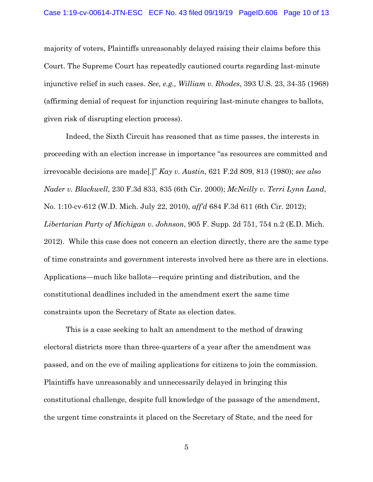majority of voters, Plaintiffs unreasonably delayed raising their claims before this Court. The Supreme Court has repeatedly cautioned courts regarding last-minute injunctive relief in such cases. *See, e.g., William v. Rhodes*, 393 U.S. 23, 34-35 (1968) (affirming denial of request for injunction requiring last-minute changes to ballots, given risk of disrupting election process).

Indeed, the Sixth Circuit has reasoned that as time passes, the interests in proceeding with an election increase in importance "as resources are committed and irrevocable decisions are made[.]" *Kay v. Austin*, 621 F.2d 809, 813 (1980); *see also Nader v. Blackwell*, 230 F.3d 833, 835 (6th Cir. 2000); *McNeilly v. Terri Lynn Land*, No. 1:10-cv-612 (W.D. Mich. July 22, 2010), *aff'd* 684 F.3d 611 (6th Cir. 2012); *Libertarian Party of Michigan v. Johnson*, 905 F. Supp. 2d 751, 754 n.2 (E.D. Mich. 2012). While this case does not concern an election directly, there are the same type of time constraints and government interests involved here as there are in elections. Applications—much like ballots—require printing and distribution, and the constitutional deadlines included in the amendment exert the same time constraints upon the Secretary of State as election dates.

This is a case seeking to halt an amendment to the method of drawing electoral districts more than three-quarters of a year after the amendment was passed, and on the eve of mailing applications for citizens to join the commission. Plaintiffs have unreasonably and unnecessarily delayed in bringing this constitutional challenge, despite full knowledge of the passage of the amendment, the urgent time constraints it placed on the Secretary of State, and the need for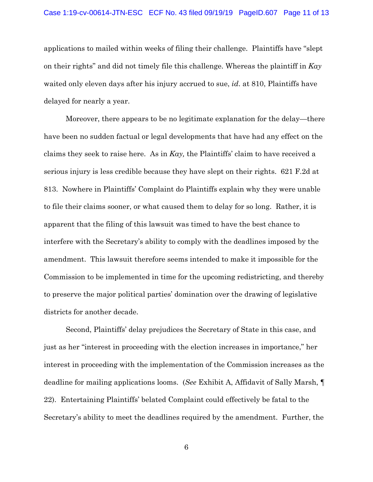applications to mailed within weeks of filing their challenge. Plaintiffs have "slept on their rights" and did not timely file this challenge. Whereas the plaintiff in *Kay*  waited only eleven days after his injury accrued to sue, *id*. at 810, Plaintiffs have delayed for nearly a year.

Moreover, there appears to be no legitimate explanation for the delay—there have been no sudden factual or legal developments that have had any effect on the claims they seek to raise here. As in *Kay,* the Plaintiffs' claim to have received a serious injury is less credible because they have slept on their rights. 621 F.2d at 813. Nowhere in Plaintiffs' Complaint do Plaintiffs explain why they were unable to file their claims sooner, or what caused them to delay for so long. Rather, it is apparent that the filing of this lawsuit was timed to have the best chance to interfere with the Secretary's ability to comply with the deadlines imposed by the amendment. This lawsuit therefore seems intended to make it impossible for the Commission to be implemented in time for the upcoming redistricting, and thereby to preserve the major political parties' domination over the drawing of legislative districts for another decade.

Second, Plaintiffs' delay prejudices the Secretary of State in this case, and just as her "interest in proceeding with the election increases in importance," her interest in proceeding with the implementation of the Commission increases as the deadline for mailing applications looms. (*See* Exhibit A, Affidavit of Sally Marsh, ¶ 22). Entertaining Plaintiffs' belated Complaint could effectively be fatal to the Secretary's ability to meet the deadlines required by the amendment. Further, the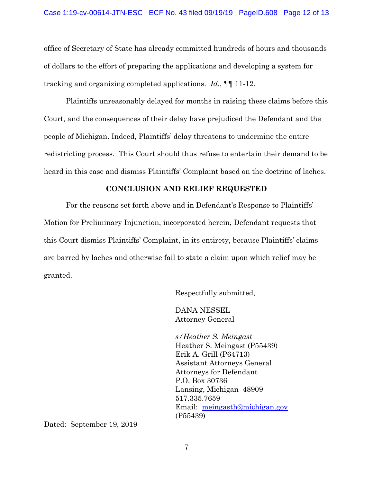office of Secretary of State has already committed hundreds of hours and thousands of dollars to the effort of preparing the applications and developing a system for tracking and organizing completed applications. *Id.*, ¶¶ 11-12.

Plaintiffs unreasonably delayed for months in raising these claims before this Court, and the consequences of their delay have prejudiced the Defendant and the people of Michigan. Indeed, Plaintiffs' delay threatens to undermine the entire redistricting process. This Court should thus refuse to entertain their demand to be heard in this case and dismiss Plaintiffs' Complaint based on the doctrine of laches.

#### **CONCLUSION AND RELIEF REQUESTED**

For the reasons set forth above and in Defendant's Response to Plaintiffs' Motion for Preliminary Injunction, incorporated herein, Defendant requests that this Court dismiss Plaintiffs' Complaint, in its entirety, because Plaintiffs' claims are barred by laches and otherwise fail to state a claim upon which relief may be granted.

Respectfully submitted,

 DANA NESSEL Attorney General

 *s/Heather S. Meingast*  Heather S. Meingast (P55439) Erik A. Grill (P64713) Assistant Attorneys General Attorneys for Defendant P.O. Box 30736 Lansing, Michigan 48909 517.335.7659 Email: meingasth@michigan.gov (P55439)

Dated: September 19, 2019